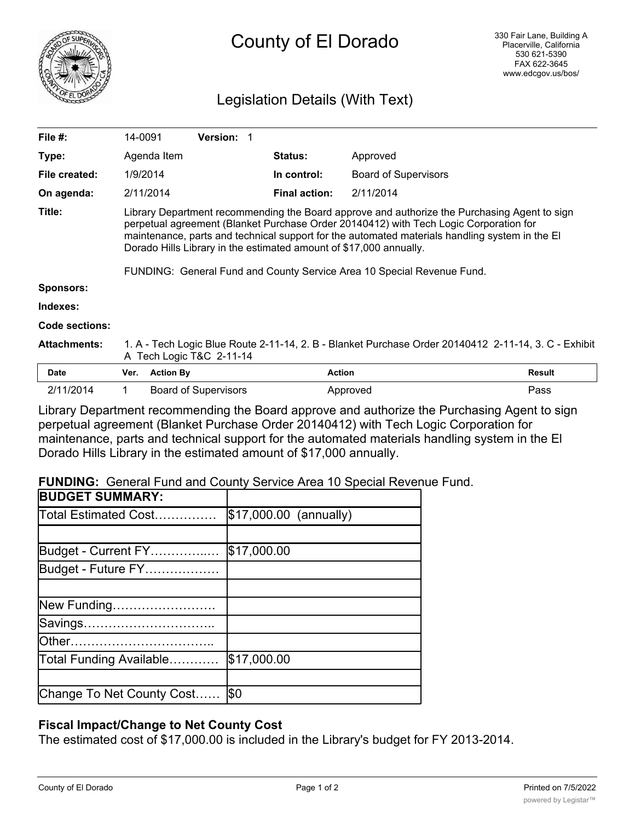

# Legislation Details (With Text)

| File $#$ :          | 14-0091                                                                                                                                                                                                                                                                                                                                                                                                                                 |                  | <b>Version:</b>             |                      |                             |               |
|---------------------|-----------------------------------------------------------------------------------------------------------------------------------------------------------------------------------------------------------------------------------------------------------------------------------------------------------------------------------------------------------------------------------------------------------------------------------------|------------------|-----------------------------|----------------------|-----------------------------|---------------|
| Type:               |                                                                                                                                                                                                                                                                                                                                                                                                                                         | Agenda Item      |                             | <b>Status:</b>       | Approved                    |               |
| File created:       |                                                                                                                                                                                                                                                                                                                                                                                                                                         | 1/9/2014         |                             | In control:          | <b>Board of Supervisors</b> |               |
| On agenda:          |                                                                                                                                                                                                                                                                                                                                                                                                                                         | 2/11/2014        |                             | <b>Final action:</b> | 2/11/2014                   |               |
| Title:              | Library Department recommending the Board approve and authorize the Purchasing Agent to sign<br>perpetual agreement (Blanket Purchase Order 20140412) with Tech Logic Corporation for<br>maintenance, parts and technical support for the automated materials handling system in the El<br>Dorado Hills Library in the estimated amount of \$17,000 annually.<br>FUNDING: General Fund and County Service Area 10 Special Revenue Fund. |                  |                             |                      |                             |               |
| <b>Sponsors:</b>    |                                                                                                                                                                                                                                                                                                                                                                                                                                         |                  |                             |                      |                             |               |
| Indexes:            |                                                                                                                                                                                                                                                                                                                                                                                                                                         |                  |                             |                      |                             |               |
| Code sections:      |                                                                                                                                                                                                                                                                                                                                                                                                                                         |                  |                             |                      |                             |               |
| <b>Attachments:</b> | 1. A - Tech Logic Blue Route 2-11-14, 2. B - Blanket Purchase Order 20140412 2-11-14, 3. C - Exhibit<br>A Tech Logic T&C 2-11-14                                                                                                                                                                                                                                                                                                        |                  |                             |                      |                             |               |
| <b>Date</b>         | Ver.                                                                                                                                                                                                                                                                                                                                                                                                                                    | <b>Action By</b> |                             |                      | <b>Action</b>               | <b>Result</b> |
| 2/11/2014           | 1.                                                                                                                                                                                                                                                                                                                                                                                                                                      |                  | <b>Board of Supervisors</b> |                      | Approved                    | Pass          |

Library Department recommending the Board approve and authorize the Purchasing Agent to sign perpetual agreement (Blanket Purchase Order 20140412) with Tech Logic Corporation for maintenance, parts and technical support for the automated materials handling system in the El Dorado Hills Library in the estimated amount of \$17,000 annually.

**FUNDING:** General Fund and County Service Area 10 Special Revenue Fund.

| \$17,000.00 (annually) |
|------------------------|
|                        |
| \$17,000.00            |
|                        |
|                        |
|                        |
|                        |
|                        |
| \$17,000.00            |
|                        |
| I\$0                   |
|                        |

## **Fiscal Impact/Change to Net County Cost**

The estimated cost of \$17,000.00 is included in the Library's budget for FY 2013-2014.